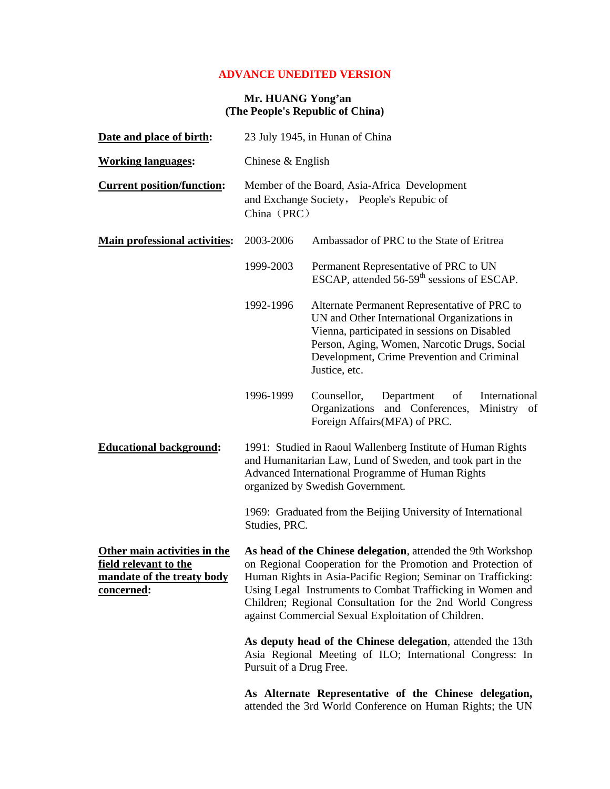## **ADVANCE UNEDITED VERSION**

## **Mr. HUANG Yong'an (The People's Republic of China)**

| Date and place of birth:                                                                                  | 23 July 1945, in Hunan of China                                                                                                                                                                                                                                                                                                                                                |                                                                                                                                                                                                                                                            |
|-----------------------------------------------------------------------------------------------------------|--------------------------------------------------------------------------------------------------------------------------------------------------------------------------------------------------------------------------------------------------------------------------------------------------------------------------------------------------------------------------------|------------------------------------------------------------------------------------------------------------------------------------------------------------------------------------------------------------------------------------------------------------|
| <b>Working languages:</b>                                                                                 | Chinese $&$ English                                                                                                                                                                                                                                                                                                                                                            |                                                                                                                                                                                                                                                            |
| <b>Current position/function:</b>                                                                         | Member of the Board, Asia-Africa Development<br>and Exchange Society, People's Repubic of<br>China (PRC)                                                                                                                                                                                                                                                                       |                                                                                                                                                                                                                                                            |
| <b>Main professional activities:</b>                                                                      | 2003-2006                                                                                                                                                                                                                                                                                                                                                                      | Ambassador of PRC to the State of Eritrea                                                                                                                                                                                                                  |
|                                                                                                           | 1999-2003                                                                                                                                                                                                                                                                                                                                                                      | Permanent Representative of PRC to UN<br>ESCAP, attended 56-59 <sup>th</sup> sessions of ESCAP.                                                                                                                                                            |
|                                                                                                           | 1992-1996                                                                                                                                                                                                                                                                                                                                                                      | Alternate Permanent Representative of PRC to<br>UN and Other International Organizations in<br>Vienna, participated in sessions on Disabled<br>Person, Aging, Women, Narcotic Drugs, Social<br>Development, Crime Prevention and Criminal<br>Justice, etc. |
|                                                                                                           | 1996-1999                                                                                                                                                                                                                                                                                                                                                                      | Counsellor,<br>Department<br>of<br>International<br>Organizations and Conferences,<br>Ministry of<br>Foreign Affairs (MFA) of PRC.                                                                                                                         |
| <b>Educational background:</b>                                                                            | 1991: Studied in Raoul Wallenberg Institute of Human Rights<br>and Humanitarian Law, Lund of Sweden, and took part in the<br>Advanced International Programme of Human Rights<br>organized by Swedish Government.                                                                                                                                                              |                                                                                                                                                                                                                                                            |
|                                                                                                           | Studies, PRC.                                                                                                                                                                                                                                                                                                                                                                  | 1969: Graduated from the Beijing University of International                                                                                                                                                                                               |
| Other main activities in the<br>field relevant to the<br>mandate of the treaty body<br><u>concerned</u> : | As head of the Chinese delegation, attended the 9th Workshop<br>on Regional Cooperation for the Promotion and Protection of<br>Human Rights in Asia-Pacific Region; Seminar on Trafficking:<br>Using Legal Instruments to Combat Trafficking in Women and<br>Children; Regional Consultation for the 2nd World Congress<br>against Commercial Sexual Exploitation of Children. |                                                                                                                                                                                                                                                            |
|                                                                                                           | As deputy head of the Chinese delegation, attended the 13th<br>Asia Regional Meeting of ILO; International Congress: In<br>Pursuit of a Drug Free.                                                                                                                                                                                                                             |                                                                                                                                                                                                                                                            |
|                                                                                                           |                                                                                                                                                                                                                                                                                                                                                                                | As Alternate Representative of the Chinese delegation,<br>attended the 3rd World Conference on Human Rights; the UN                                                                                                                                        |